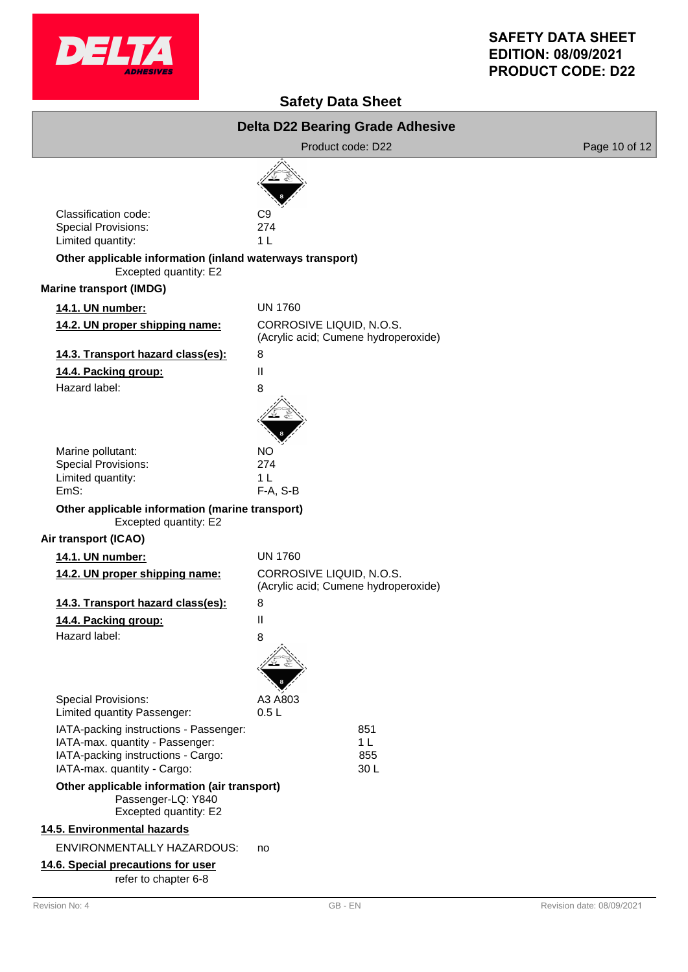

# **SAFETY DATA SHEET EDITION: 08/09/2021 PRODUCT CODE: D22**

# **Safety Data Sheet**

|                                                                                                                                                | <b>Delta D22 Bearing Grade Adhesive</b>                          |               |  |  |
|------------------------------------------------------------------------------------------------------------------------------------------------|------------------------------------------------------------------|---------------|--|--|
|                                                                                                                                                | Product code: D22                                                | Page 10 of 12 |  |  |
|                                                                                                                                                |                                                                  |               |  |  |
| Classification code:<br><b>Special Provisions:</b><br>Limited quantity:                                                                        | C <sub>9</sub><br>274<br>1 <sub>L</sub>                          |               |  |  |
| Other applicable information (inland waterways transport)<br>Excepted quantity: E2                                                             |                                                                  |               |  |  |
| <b>Marine transport (IMDG)</b>                                                                                                                 |                                                                  |               |  |  |
| 14.1. UN number:                                                                                                                               | <b>UN 1760</b>                                                   |               |  |  |
| 14.2. UN proper shipping name:                                                                                                                 | CORROSIVE LIQUID, N.O.S.<br>(Acrylic acid; Cumene hydroperoxide) |               |  |  |
| 14.3. Transport hazard class(es):                                                                                                              | 8                                                                |               |  |  |
| 14.4. Packing group:                                                                                                                           | Ш                                                                |               |  |  |
| Hazard label:                                                                                                                                  | 8                                                                |               |  |  |
|                                                                                                                                                |                                                                  |               |  |  |
| Marine pollutant:                                                                                                                              | <b>NO</b>                                                        |               |  |  |
| <b>Special Provisions:</b>                                                                                                                     | 274                                                              |               |  |  |
| Limited quantity:                                                                                                                              | 1 <sub>L</sub>                                                   |               |  |  |
| EmS:<br>Other applicable information (marine transport)                                                                                        | F-A, S-B                                                         |               |  |  |
| Excepted quantity: E2                                                                                                                          |                                                                  |               |  |  |
| Air transport (ICAO)                                                                                                                           |                                                                  |               |  |  |
| 14.1. UN number:                                                                                                                               | <b>UN 1760</b>                                                   |               |  |  |
| 14.2. UN proper shipping name:                                                                                                                 | CORROSIVE LIQUID, N.O.S.<br>(Acrylic acid; Cumene hydroperoxide) |               |  |  |
| 14.3. Transport hazard class(es):                                                                                                              | 8                                                                |               |  |  |
| 14.4. Packing group:                                                                                                                           | Ш                                                                |               |  |  |
| Hazard label:                                                                                                                                  | 8                                                                |               |  |  |
|                                                                                                                                                |                                                                  |               |  |  |
| <b>Special Provisions:</b><br>Limited quantity Passenger:                                                                                      | A3 A803<br>0.5L                                                  |               |  |  |
| IATA-packing instructions - Passenger:<br>IATA-max. quantity - Passenger:<br>IATA-packing instructions - Cargo:<br>IATA-max. quantity - Cargo: | 851<br>1 <sub>L</sub><br>855<br>30L                              |               |  |  |
| Other applicable information (air transport)<br>Passenger-LQ: Y840<br>Excepted quantity: E2                                                    |                                                                  |               |  |  |
| 14.5. Environmental hazards                                                                                                                    |                                                                  |               |  |  |
| ENVIRONMENTALLY HAZARDOUS:                                                                                                                     | no                                                               |               |  |  |
| 14.6. Special precautions for user<br>refer to chapter 6-8                                                                                     |                                                                  |               |  |  |
|                                                                                                                                                |                                                                  |               |  |  |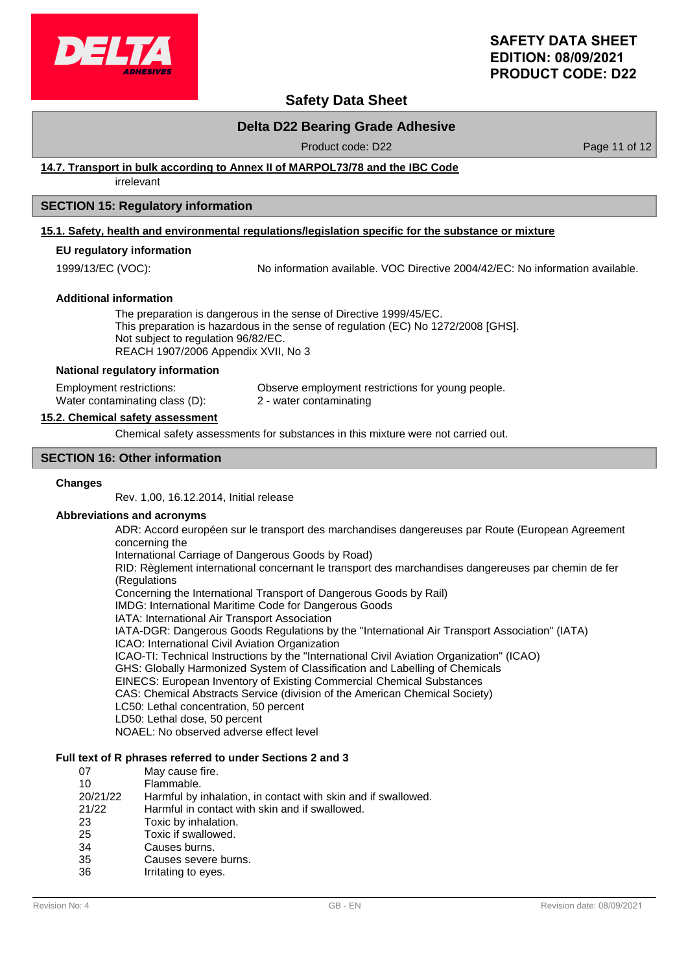

# **SAFETY DATA SHEET EDITION: 08/09/2021 PRODUCT CODE: D22**

# **Safety Data Sheet**

### **Delta D22 Bearing Grade Adhesive**

Product code: D22 Product code: D22 Page 11 of 12

### **14.7. Transport in bulk according to Annex II of MARPOL73/78 and the IBC Code**

irrelevant

### **SECTION 15: Regulatory information**

#### **15.1. Safety, health and environmental regulations/legislation specific for the substance or mixture**

### **EU regulatory information**

1999/13/EC (VOC): No information available. VOC Directive 2004/42/EC: No information available.

#### **Additional information**

The preparation is dangerous in the sense of Directive 1999/45/EC. This preparation is hazardous in the sense of regulation (EC) No 1272/2008 [GHS]. Not subject to regulation 96/82/EC. REACH 1907/2006 Appendix XVII, No 3

#### **National regulatory information**

Employment restrictions: Observe employment restrictions for young people. Water contaminating class (D): 2 - water contaminating

#### **15.2. Chemical safety assessment**

Chemical safety assessments for substances in this mixture were not carried out.

#### **SECTION 16: Other information**

#### **Changes**

Rev. 1,00, 16.12.2014, Initial release

#### **Abbreviations and acronyms**

ADR: Accord européen sur le transport des marchandises dangereuses par Route (European Agreement concerning the

International Carriage of Dangerous Goods by Road)

RID: Règlement international concernant le transport des marchandises dangereuses par chemin de fer (Regulations

Concerning the International Transport of Dangerous Goods by Rail)

IMDG: International Maritime Code for Dangerous Goods

IATA: International Air Transport Association

IATA-DGR: Dangerous Goods Regulations by the "International Air Transport Association" (IATA) ICAO: International Civil Aviation Organization

ICAO-TI: Technical Instructions by the "International Civil Aviation Organization" (ICAO)

GHS: Globally Harmonized System of Classification and Labelling of Chemicals

EINECS: European Inventory of Existing Commercial Chemical Substances

CAS: Chemical Abstracts Service (division of the American Chemical Society)

- LC50: Lethal concentration, 50 percent
- LD50: Lethal dose, 50 percent

NOAEL: No observed adverse effect level

### **Full text of R phrases referred to under Sections 2 and 3**

| 07       | May cause fire.                                               |
|----------|---------------------------------------------------------------|
| 10       | Flammable.                                                    |
| 20/21/22 | Harmful by inhalation, in contact with skin and if swallowed. |
| 21/22    | Harmful in contact with skin and if swallowed.                |
| 23       | Toxic by inhalation.                                          |
| 25       | Toxic if swallowed.                                           |
| 34       | Causes burns.                                                 |
| 35       | Causes severe burns.                                          |
| 36       | Irritating to eyes.                                           |